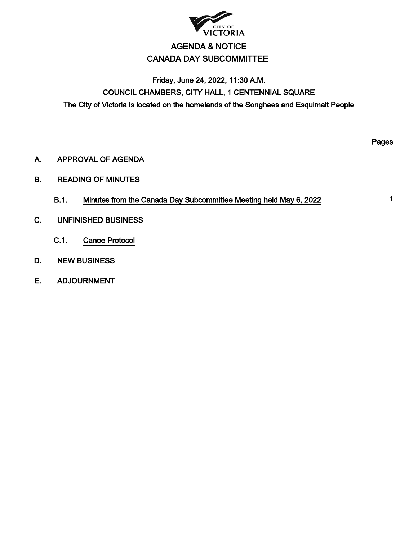

# AGENDA & NOTICE CANADA DAY SUBCOMMITTEE

# Friday, June 24, 2022, 11:30 A.M. COUNCIL CHAMBERS, CITY HALL, 1 CENTENNIAL SQUARE The City of Victoria is located on the homelands of the Songhees and Esquimalt People

A. APPROVAL OF AGENDA

- B. READING OF MINUTES
	- B.1. Minutes from the Canada Day Subcommittee Meeting held May 6, 2022
- C. UNFINISHED BUSINESS
	- C.1. Canoe Protocol
- D. NEW BUSINESS
- E. ADJOURNMENT

Pages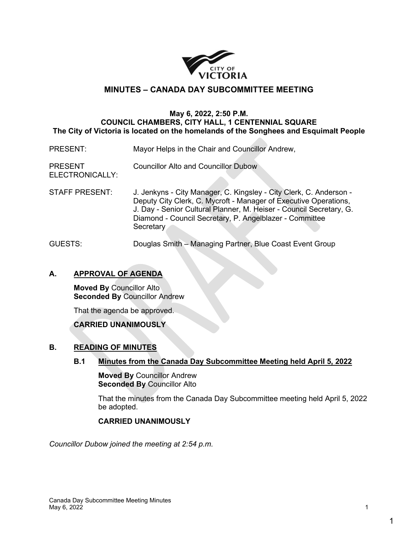

## **MINUTES – CANADA DAY SUBCOMMITTEE MEETING**

### **May 6, 2022, 2:50 P.M. COUNCIL CHAMBERS, CITY HALL, 1 CENTENNIAL SQUARE The City of Victoria is located on the homelands of the Songhees and Esquimalt People**

- PRESENT: Mayor Helps in the Chair and Councillor Andrew,
- PRESENT Councillor Alto and Councillor Dubow
- ELECTRONICALLY:
- STAFF PRESENT: J. Jenkyns City Manager, C. Kingsley City Clerk, C. Anderson Deputy City Clerk, C. Mycroft - Manager of Executive Operations, J. Day - Senior Cultural Planner, M. Heiser - Council Secretary, G. Diamond - Council Secretary, P. Angelblazer - Committee **Secretary**
- GUESTS: Douglas Smith Managing Partner, Blue Coast Event Group

## **A. APPROVAL OF AGENDA**

**Moved By** Councillor Alto **Seconded By** Councillor Andrew

That the agenda be approved.

## **CARRIED UNANIMOUSLY**

## **B. READING OF MINUTES**

**B.1 Minutes from the Canada Day Subcommittee Meeting held April 5, 2022**

**Moved By** Councillor Andrew **Seconded By** Councillor Alto

That the minutes from the Canada Day Subcommittee meeting held April 5, 2022 be adopted.

### **CARRIED UNANIMOUSLY**

*Councillor Dubow joined the meeting at 2:54 p.m.*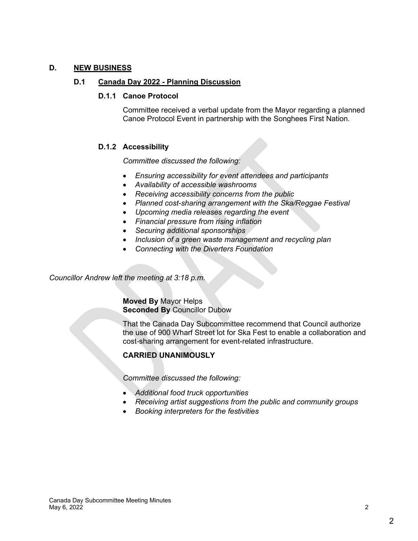## **D. NEW BUSINESS**

### **D.1 Canada Day 2022 - Planning Discussion**

#### **D.1.1 Canoe Protocol**

Committee received a verbal update from the Mayor regarding a planned Canoe Protocol Event in partnership with the Songhees First Nation.

## **D.1.2 Accessibility**

*Committee discussed the following:*

- *Ensuring accessibility for event attendees and participants*
- *Availability of accessible washrooms*
- *Receiving accessibility concerns from the public*
- *Planned cost-sharing arrangement with the Ska/Reggae Festival*
- *Upcoming media releases regarding the event*
- *Financial pressure from rising inflation*
- *Securing additional sponsorships*
- *Inclusion of a green waste management and recycling plan*
- *Connecting with the Diverters Foundation*

*Councillor Andrew left the meeting at 3:18 p.m.*

**Moved By** Mayor Helps **Seconded By** Councillor Dubow

That the Canada Day Subcommittee recommend that Council authorize the use of 900 Wharf Street lot for Ska Fest to enable a collaboration and cost-sharing arrangement for event-related infrastructure.

## **CARRIED UNANIMOUSLY**

*Committee discussed the following:* 

- *Additional food truck opportunities*
- *Receiving artist suggestions from the public and community groups*
- *Booking interpreters for the festivities*